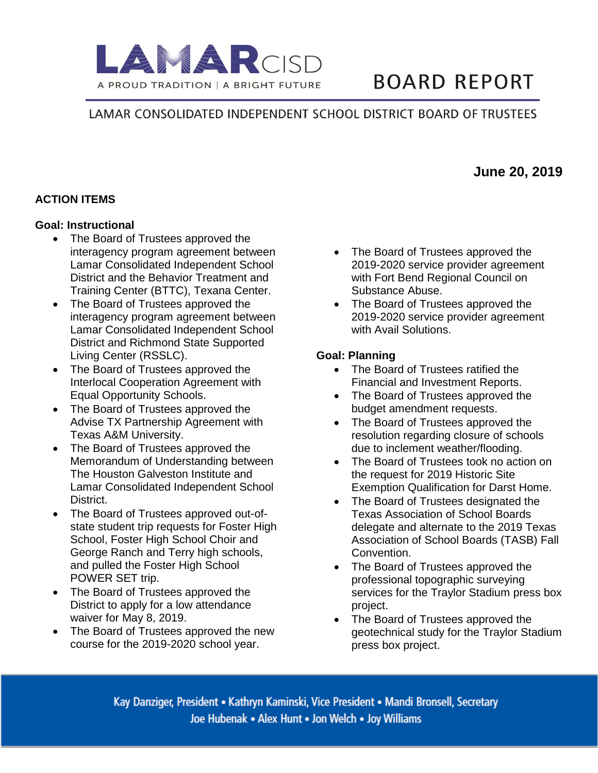

# **BOARD REPORT**

## LAMAR CONSOLIDATED INDEPENDENT SCHOOL DISTRICT BOARD OF TRUSTEES

## **ACTION ITEMS**

#### **Goal: Instructional**

- The Board of Trustees approved the interagency program agreement between Lamar Consolidated Independent School District and the Behavior Treatment and Training Center (BTTC), Texana Center.
- The Board of Trustees approved the interagency program agreement between Lamar Consolidated Independent School District and Richmond State Supported Living Center (RSSLC).
- The Board of Trustees approved the Interlocal Cooperation Agreement with Equal Opportunity Schools.
- The Board of Trustees approved the Advise TX Partnership Agreement with Texas A&M University.
- The Board of Trustees approved the Memorandum of Understanding between The Houston Galveston Institute and Lamar Consolidated Independent School District.
- The Board of Trustees approved out-ofstate student trip requests for Foster High School, Foster High School Choir and George Ranch and Terry high schools, and pulled the Foster High School POWER SET trip.
- The Board of Trustees approved the District to apply for a low attendance waiver for May 8, 2019.
- The Board of Trustees approved the new course for the 2019-2020 school year.
- The Board of Trustees approved the 2019-2020 service provider agreement with Fort Bend Regional Council on Substance Abuse.
- The Board of Trustees approved the 2019-2020 service provider agreement with Avail Solutions.

#### **Goal: Planning**

- The Board of Trustees ratified the Financial and Investment Reports.
- The Board of Trustees approved the budget amendment requests.
- The Board of Trustees approved the resolution regarding closure of schools due to inclement weather/flooding.
- The Board of Trustees took no action on the request for 2019 Historic Site Exemption Qualification for Darst Home.
- The Board of Trustees designated the Texas Association of School Boards delegate and alternate to the 2019 Texas Association of School Boards (TASB) Fall Convention.
- The Board of Trustees approved the professional topographic surveying services for the Traylor Stadium press box project.
- The Board of Trustees approved the geotechnical study for the Traylor Stadium press box project.

Kay Danziger, President • Kathryn Kaminski, Vice President • Mandi Bronsell, Secretary Joe Hubenak • Alex Hunt • Jon Welch • Joy Williams

# **June 20, 2019**